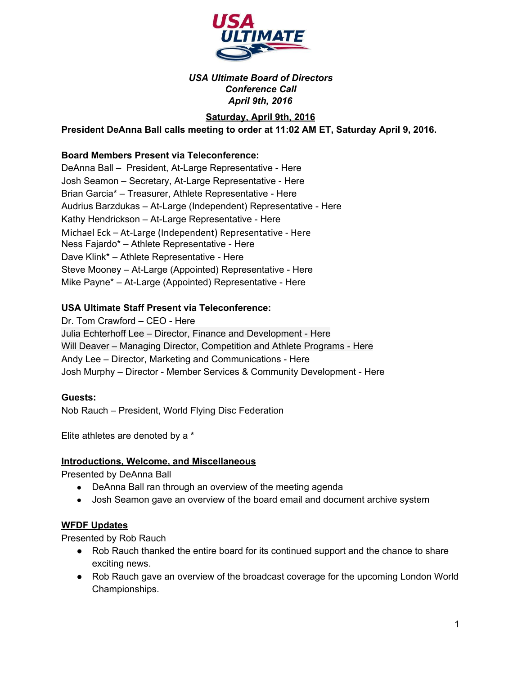

## *USA Ultimate Board of Directors Conference Call April 9th, 2016*

# **Saturday, April 9th, 2016**

**President DeAnna Ball calls meeting to order at 11:02 AM ET, Saturday April 9, 2016.**

## **Board Members Present via Teleconference:**

DeAnna Ball - President, At-Large Representative - Here Josh Seamon - Secretary, At-Large Representative - Here Brian Garcia\* – Treasurer, Athlete Representative - Here Audrius Barzdukas - At-Large (Independent) Representative - Here Kathy Hendrickson - At-Large Representative - Here Michael Eck – At-Large (Independent) Representative - Here Ness Fajardo\* – Athlete Representative - Here Dave Klink\* – Athlete Representative - Here Steve Mooney – At-Large (Appointed) Representative - Here Mike Payne\* – At-Large (Appointed) Representative - Here

### **USA Ultimate Staff Present via Teleconference:**

Dr. Tom Crawford – CEO - Here Julia Echterhoff Lee – Director, Finance and Development - Here Will Deaver - Managing Director, Competition and Athlete Programs - Here Andy Lee – Director, Marketing and Communications - Here Josh Murphy – Director - Member Services & Community Development - Here

### **Guests:**

Nob Rauch – President, World Flying Disc Federation

Elite athletes are denoted by a \*

# **Introductions, Welcome, and Miscellaneous**

Presented by DeAnna Ball

- DeAnna Ball ran through an overview of the meeting agenda
- Josh Seamon gave an overview of the board email and document archive system

# **WFDF Updates**

Presented by Rob Rauch

- Rob Rauch thanked the entire board for its continued support and the chance to share exciting news.
- Rob Rauch gave an overview of the broadcast coverage for the upcoming London World Championships.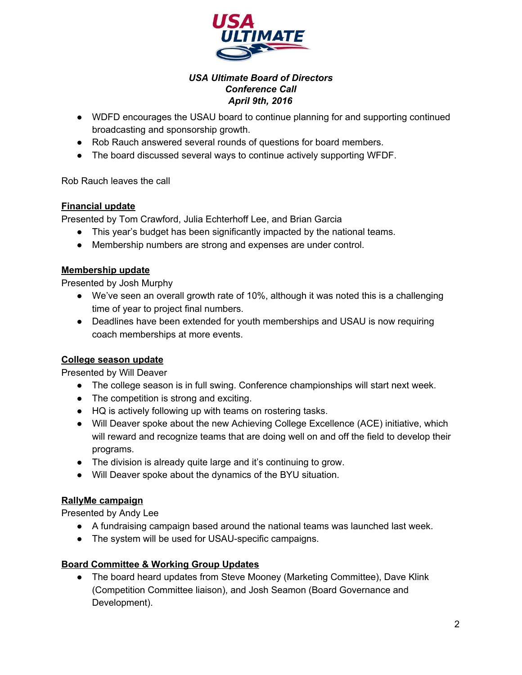

## *USA Ultimate Board of Directors Conference Call April 9th, 2016*

- WDFD encourages the USAU board to continue planning for and supporting continued broadcasting and sponsorship growth.
- Rob Rauch answered several rounds of questions for board members.
- The board discussed several ways to continue actively supporting WFDF.

Rob Rauch leaves the call

# **Financial update**

Presented by Tom Crawford, Julia Echterhoff Lee, and Brian Garcia

- This year's budget has been significantly impacted by the national teams.
- Membership numbers are strong and expenses are under control.

## **Membership update**

Presented by Josh Murphy

- We've seen an overall growth rate of 10%, although it was noted this is a challenging time of year to project final numbers.
- Deadlines have been extended for youth memberships and USAU is now requiring coach memberships at more events.

# **College season update**

Presented by Will Deaver

- The college season is in full swing. Conference championships will start next week.
- The competition is strong and exciting.
- HQ is actively following up with teams on rostering tasks.
- Will Deaver spoke about the new Achieving College Excellence (ACE) initiative, which will reward and recognize teams that are doing well on and off the field to develop their programs.
- The division is already quite large and it's continuing to grow.
- Will Deaver spoke about the dynamics of the BYU situation.

### **RallyMe campaign**

Presented by Andy Lee

- A fundraising campaign based around the national teams was launched last week.
- The system will be used for USAU-specific campaigns.

### **Board Committee & Working Group Updates**

• The board heard updates from Steve Mooney (Marketing Committee), Dave Klink (Competition Committee liaison), and Josh Seamon (Board Governance and Development).